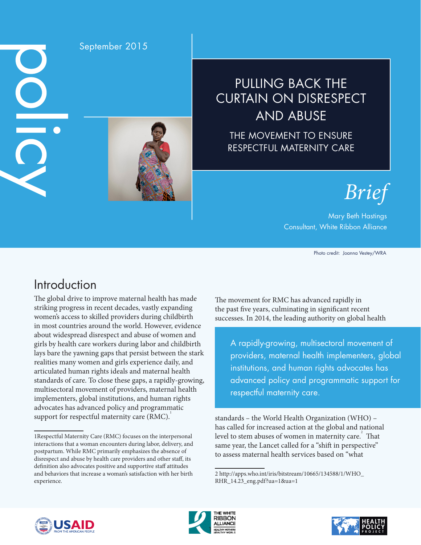DO  $\overline{O}$ 

### September 2015



# PULLING BACK THE CURTAIN ON DISRESPECT AND ABUSE

THE MOVEMENT TO ENSURE RESPECTFUL MATERNITY CARE

*Brief*

### Mary Beth Hastings Consultant, White Ribbon Alliance

Photo credit: Joanna Vestey/WRA

# Introduction

The global drive to improve maternal health has made striking progress in recent decades, vastly expanding women's access to skilled providers during childbirth in most countries around the world. However, evidence about widespread disrespect and abuse of women and girls by health care workers during labor and childbirth lays bare the yawning gaps that persist between the stark realities many women and girls experience daily, and articulated human rights ideals and maternal health standards of care. To close these gaps, a rapidly-growing, multisectoral movement of providers, maternal health implementers, global institutions, and human rights advocates has advanced policy and programmatic support for respectful maternity care (RMC).<sup>1</sup>

The movement for RMC has advanced rapidly in the past five years, culminating in significant recent successes. In 2014, the leading authority on global health

A rapidly-growing, multisectoral movement of providers, maternal health implementers, global institutions, and human rights advocates has advanced policy and programmatic support for respectful maternity care.

standards – the World Health Organization (WHO) – has called for increased action at the global and national level to stem abuses of women in maternity care. $\overline{2}$  That same year, the Lancet called for a "shift in perspective" to assess maternal health services based on "what







<sup>1</sup>Respectful Maternity Care (RMC) focuses on the interpersonal interactions that a woman encounters during labor, delivery, and postpartum. While RMC primarily emphasizes the absence of disrespect and abuse by health care providers and other staff, its definition also advocates positive and supportive staff attitudes and behaviors that increase a woman's satisfaction with her birth experience.

<sup>2</sup> http://apps.who.int/iris/bitstream/10665/134588/1/WHO\_ RHR\_14.23\_eng.pdf?ua=1&ua=1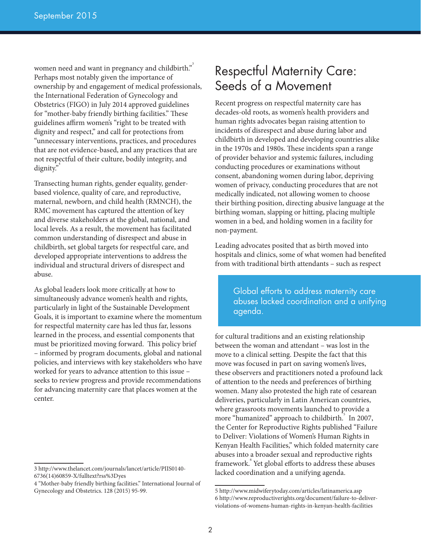women need and want in pregnancy and childbirth."  $\,$ Perhaps most notably given the importance of ownership by and engagement of medical professionals, the International Federation of Gynecology and Obstetrics (FIGO) in July 2014 approved guidelines for "mother-baby friendly birthing facilities." These guidelines affirm women's "right to be treated with dignity and respect," and call for protections from "unnecessary interventions, practices, and procedures that are not evidence-based, and any practices that are not respectful of their culture, bodily integrity, and dignity."

Transecting human rights, gender equality, genderbased violence, quality of care, and reproductive, maternal, newborn, and child health (RMNCH), the RMC movement has captured the attention of key and diverse stakeholders at the global, national, and local levels. As a result, the movement has facilitated common understanding of disrespect and abuse in childbirth, set global targets for respectful care, and developed appropriate interventions to address the individual and structural drivers of disrespect and abuse.

As global leaders look more critically at how to simultaneously advance women's health and rights, particularly in light of the Sustainable Development Goals, it is important to examine where the momentum for respectful maternity care has led thus far, lessons learned in the process, and essential components that must be prioritized moving forward. This policy brief – informed by program documents, global and national policies, and interviews with key stakeholders who have worked for years to advance attention to this issue – seeks to review progress and provide recommendations for advancing maternity care that places women at the center.

### Respectful Maternity Care: Seeds of a Movement

Recent progress on respectful maternity care has decades-old roots, as women's health providers and human rights advocates began raising attention to incidents of disrespect and abuse during labor and childbirth in developed and developing countries alike in the 1970s and 1980s. These incidents span a range of provider behavior and systemic failures, including conducting procedures or examinations without consent, abandoning women during labor, depriving women of privacy, conducting procedures that are not medically indicated, not allowing women to choose their birthing position, directing abusive language at the birthing woman, slapping or hitting, placing multiple women in a bed, and holding women in a facility for non-payment.

Leading advocates posited that as birth moved into hospitals and clinics, some of what women had benefited from with traditional birth attendants – such as respect

> Global efforts to address maternity care abuses lacked coordination and a unifying agenda.

for cultural traditions and an existing relationship between the woman and attendant – was lost in the move to a clinical setting. Despite the fact that this move was focused in part on saving women's lives, these observers and practitioners noted a profound lack of attention to the needs and preferences of birthing women. Many also protested the high rate of cesarean deliveries, particularly in Latin American countries, where grassroots movements launched to provide a more "humanized" approach to childbirth.<sup>5</sup> In 2007, the Center for Reproductive Rights published "Failure to Deliver: Violations of Women's Human Rights in Kenyan Health Facilities," which folded maternity care abuses into a broader sexual and reproductive rights framework.<sup>6</sup> Yet global efforts to address these abuses lacked coordination and a unifying agenda.

<sup>3</sup> http://www.thelancet.com/journals/lancet/article/PIIS0140- 6736(14)60859-X/fulltext?rss%3Dyes

<sup>4 &</sup>quot;Mother-baby friendly birthing facilities." International Journal of Gynecology and Obstetrics. 128 (2015) 95-99.

<sup>5</sup> http://www.midwiferytoday.com/articles/latinamerica.asp 6 http://www.reproductiverights.org/document/failure-to-deliverviolations-of-womens-human-rights-in-kenyan-health-facilities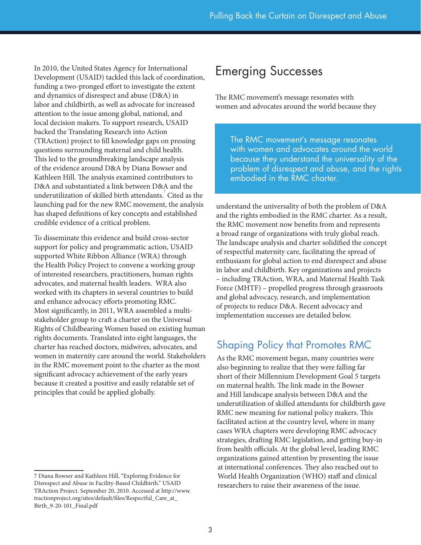In 2010, the United States Agency for International Development (USAID) tackled this lack of coordination, funding a two-pronged effort to investigate the extent and dynamics of disrespect and abuse (D&A) in labor and childbirth, as well as advocate for increased attention to the issue among global, national, and local decision makers. To support research, USAID backed the Translating Research into Action (TRAction) project to fill knowledge gaps on pressing questions surrounding maternal and child health. This led to the groundbreaking landscape analysis of the evidence around D&A by Diana Bowser and Kathleen Hill. The analysis examined contributors to D&A and substantiated a link between D&A and the underutilization of skilled birth attendants. Cited as the launching pad for the new RMC movement, the analysis has shaped definitions of key concepts and established credible evidence of a critical problem.

To disseminate this evidence and build cross-sector support for policy and programmatic action, USAID supported White Ribbon Alliance (WRA) through the Health Policy Project to convene a working group of interested researchers, practitioners, human rights advocates, and maternal health leaders. WRA also worked with its chapters in several countries to build and enhance advocacy efforts promoting RMC. Most significantly, in 2011, WRA assembled a multistakeholder group to craft a charter on the Universal Rights of Childbearing Women based on existing human rights documents. Translated into eight languages, the charter has reached doctors, midwives, advocates, and women in maternity care around the world. Stakeholders in the RMC movement point to the charter as the most significant advocacy achievement of the early years because it created a positive and easily relatable set of principles that could be applied globally.

## Emerging Successes

The RMC movement's message resonates with women and advocates around the world because they

The RMC movement's message resonates with women and advocates around the world because they understand the universality of the problem of disrespect and abuse, and the rights embodied in the RMC charter.

understand the universality of both the problem of D&A and the rights embodied in the RMC charter. As a result, the RMC movement now benefits from and represents a broad range of organizations with truly global reach. The landscape analysis and charter solidified the concept of respectful maternity care, facilitating the spread of enthusiasm for global action to end disrespect and abuse in labor and childbirth. Key organizations and projects – including TRAction, WRA, and Maternal Health Task Force (MHTF) – propelled progress through grassroots and global advocacy, research, and implementation of projects to reduce D&A. Recent advocacy and implementation successes are detailed below.

### Shaping Policy that Promotes RMC

As the RMC movement began, many countries were also beginning to realize that they were falling far short of their Millennium Development Goal 5 targets on maternal health. The link made in the Bowser and Hill landscape analysis between D&A and the underutilization of skilled attendants for childbirth gave RMC new meaning for national policy makers. This facilitated action at the country level, where in many cases WRA chapters were developing RMC advocacy strategies, drafting RMC legislation, and getting buy-in from health officials. At the global level, leading RMC organizations gained attention by presenting the issue at international conferences. They also reached out to World Health Organization (WHO) staff and clinical researchers to raise their awareness of the issue.

<sup>7</sup> Diana Bowser and Kathleen Hill, "Exploring Evidence for Disrespect and Abuse in Facility-Based Childbirth." USAID TRAction Project. September 20, 2010. Accessed at http://www. tractionproject.org/sites/default/files/Respectful\_Care\_at\_ Birth\_9-20-101\_Final.pdf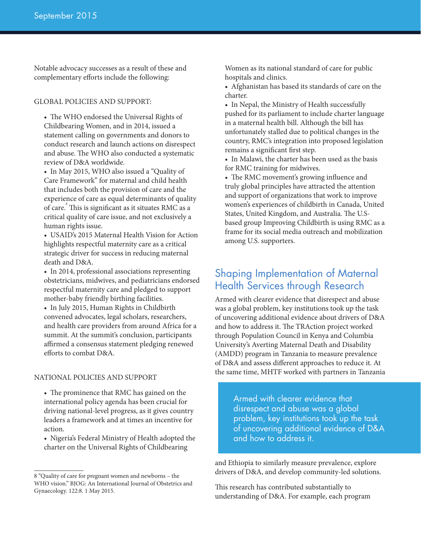Notable advocacy successes as a result of these and complementary efforts include the following:

#### GLOBAL POLICIES AND SUPPORT:

• The WHO endorsed the Universal Rights of Childbearing Women, and in 2014, issued a statement calling on governments and donors to conduct research and launch actions on disrespect and abuse. The WHO also conducted a systematic review of D&A worldwide.

• In May 2015, WHO also issued a "Quality of Care Framework" for maternal and child health that includes both the provision of care and the experience of care as equal determinants of quality of care.<sup>8</sup> This is significant as it situates RMC as a critical quality of care issue, and not exclusively a human rights issue.

• USAID's 2015 Maternal Health Vision for Action highlights respectful maternity care as a critical strategic driver for success in reducing maternal death and D&A.

• In 2014, professional associations representing obstetricians, midwives, and pediatricians endorsed respectful maternity care and pledged to support mother-baby friendly birthing facilities.

• In July 2015, Human Rights in Childbirth convened advocates, legal scholars, researchers, and health care providers from around Africa for a summit. At the summit's conclusion, participants affirmed a consensus statement pledging renewed efforts to combat D&A.

#### NATIONAL POLICIES AND SUPPORT

• The prominence that RMC has gained on the international policy agenda has been crucial for driving national-level progress, as it gives country leaders a framework and at times an incentive for action.

• Nigeria's Federal Ministry of Health adopted the charter on the Universal Rights of Childbearing

Women as its national standard of care for public hospitals and clinics.

• Afghanistan has based its standards of care on the charter.

• In Nepal, the Ministry of Health successfully pushed for its parliament to include charter language in a maternal health bill. Although the bill has unfortunately stalled due to political changes in the country, RMC's integration into proposed legislation remains a significant first step.

• In Malawi, the charter has been used as the basis for RMC training for midwives.

• The RMC movement's growing influence and truly global principles have attracted the attention and support of organizations that work to improve women's experiences of childbirth in Canada, United States, United Kingdom, and Australia. The U.Sbased group Improving Childbirth is using RMC as a frame for its social media outreach and mobilization among U.S. supporters.

### Shaping Implementation of Maternal Health Services through Research

Armed with clearer evidence that disrespect and abuse was a global problem, key institutions took up the task of uncovering additional evidence about drivers of D&A and how to address it. The TRAction project worked through Population Council in Kenya and Columbia University's Averting Maternal Death and Disability (AMDD) program in Tanzania to measure prevalence of D&A and assess different approaches to reduce it. At the same time, MHTF worked with partners in Tanzania

> Armed with clearer evidence that disrespect and abuse was a global problem, key institutions took up the task of uncovering additional evidence of D&A and how to address it.

and Ethiopia to similarly measure prevalence, explore drivers of D&A, and develop community-led solutions.

This research has contributed substantially to understanding of D&A. For example, each program

<sup>8 &</sup>quot;Quality of care for pregnant women and newborns – the WHO vision." BJOG: An International Journal of Obstetrics and Gynaecology. 122:8. 1 May 2015.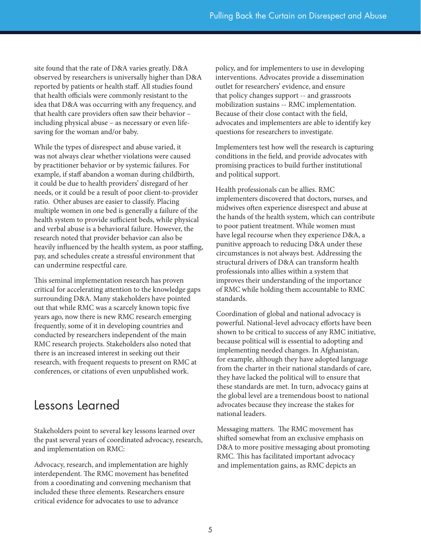site found that the rate of D&A varies greatly. D&A observed by researchers is universally higher than D&A reported by patients or health staff. All studies found that health officials were commonly resistant to the idea that D&A was occurring with any frequency, and that health care providers often saw their behavior – including physical abuse – as necessary or even lifesaving for the woman and/or baby.

While the types of disrespect and abuse varied, it was not always clear whether violations were caused by practitioner behavior or by systemic failures. For example, if staff abandon a woman during childbirth, it could be due to health providers' disregard of her needs, or it could be a result of poor client-to-provider ratio. Other abuses are easier to classify. Placing multiple women in one bed is generally a failure of the health system to provide sufficient beds, while physical and verbal abuse is a behavioral failure. However, the research noted that provider behavior can also be heavily influenced by the health system, as poor staffing, pay, and schedules create a stressful environment that can undermine respectful care.

This seminal implementation research has proven critical for accelerating attention to the knowledge gaps surrounding D&A. Many stakeholders have pointed out that while RMC was a scarcely known topic five years ago, now there is new RMC research emerging frequently, some of it in developing countries and conducted by researchers independent of the main RMC research projects. Stakeholders also noted that there is an increased interest in seeking out their research, with frequent requests to present on RMC at conferences, or citations of even unpublished work.

### Lessons Learned

Stakeholders point to several key lessons learned over the past several years of coordinated advocacy, research, and implementation on RMC:

Advocacy, research, and implementation are highly interdependent. The RMC movement has benefited from a coordinating and convening mechanism that included these three elements. Researchers ensure critical evidence for advocates to use to advance

policy, and for implementers to use in developing interventions. Advocates provide a dissemination outlet for researchers' evidence, and ensure that policy changes support -- and grassroots mobilization sustains -- RMC implementation. Because of their close contact with the field, advocates and implementers are able to identify key questions for researchers to investigate.

Implementers test how well the research is capturing conditions in the field, and provide advocates with promising practices to build further institutional and political support.

Health professionals can be allies. RMC implementers discovered that doctors, nurses, and midwives often experience disrespect and abuse at the hands of the health system, which can contribute to poor patient treatment. While women must have legal recourse when they experience D&A, a punitive approach to reducing D&A under these circumstances is not always best. Addressing the structural drivers of D&A can transform health professionals into allies within a system that improves their understanding of the importance of RMC while holding them accountable to RMC standards.

Coordination of global and national advocacy is powerful. National-level advocacy efforts have been shown to be critical to success of any RMC initiative, because political will is essential to adopting and implementing needed changes. In Afghanistan, for example, although they have adopted language from the charter in their national standards of care, they have lacked the political will to ensure that these standards are met. In turn, advocacy gains at the global level are a tremendous boost to national advocates because they increase the stakes for national leaders.

Messaging matters. The RMC movement has shifted somewhat from an exclusive emphasis on D&A to more positive messaging about promoting RMC. This has facilitated important advocacy and implementation gains, as RMC depicts an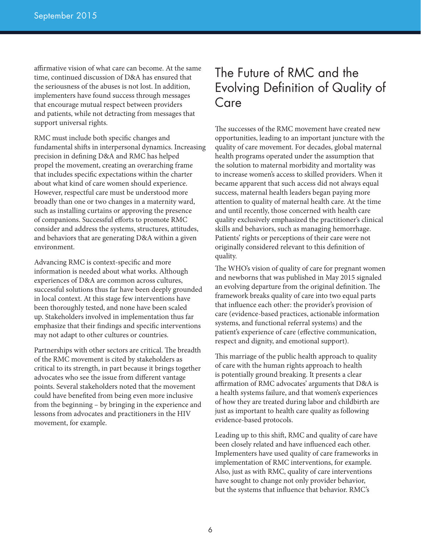affirmative vision of what care can become. At the same time, continued discussion of D&A has ensured that the seriousness of the abuses is not lost. In addition, implementers have found success through messages that encourage mutual respect between providers and patients, while not detracting from messages that support universal rights.

RMC must include both specific changes and fundamental shifts in interpersonal dynamics. Increasing precision in defining D&A and RMC has helped propel the movement, creating an overarching frame that includes specific expectations within the charter about what kind of care women should experience. However, respectful care must be understood more broadly than one or two changes in a maternity ward, such as installing curtains or approving the presence of companions. Successful efforts to promote RMC consider and address the systems, structures, attitudes, and behaviors that are generating D&A within a given environment.

Advancing RMC is context-specific and more information is needed about what works. Although experiences of D&A are common across cultures, successful solutions thus far have been deeply grounded in local context. At this stage few interventions have been thoroughly tested, and none have been scaled up. Stakeholders involved in implementation thus far emphasize that their findings and specific interventions may not adapt to other cultures or countries.

Partnerships with other sectors are critical. The breadth of the RMC movement is cited by stakeholders as critical to its strength, in part because it brings together advocates who see the issue from different vantage points. Several stakeholders noted that the movement could have benefited from being even more inclusive from the beginning – by bringing in the experience and lessons from advocates and practitioners in the HIV movement, for example.

# The Future of RMC and the Evolving Definition of Quality of Care

The successes of the RMC movement have created new opportunities, leading to an important juncture with the quality of care movement. For decades, global maternal health programs operated under the assumption that the solution to maternal morbidity and mortality was to increase women's access to skilled providers. When it became apparent that such access did not always equal success, maternal health leaders began paying more attention to quality of maternal health care. At the time and until recently, those concerned with health care quality exclusively emphasized the practitioner's clinical skills and behaviors, such as managing hemorrhage. Patients' rights or perceptions of their care were not originally considered relevant to this definition of quality.

The WHO's vision of quality of care for pregnant women and newborns that was published in May 2015 signaled an evolving departure from the original definition. The framework breaks quality of care into two equal parts that influence each other: the provider's provision of care (evidence-based practices, actionable information systems, and functional referral systems) and the patient's experience of care (effective communication, respect and dignity, and emotional support).

This marriage of the public health approach to quality of care with the human rights approach to health is potentially ground breaking. It presents a clear affirmation of RMC advocates' arguments that D&A is a health systems failure, and that women's experiences of how they are treated during labor and childbirth are just as important to health care quality as following evidence-based protocols.

Leading up to this shift, RMC and quality of care have been closely related and have influenced each other. Implementers have used quality of care frameworks in implementation of RMC interventions, for example. Also, just as with RMC, quality of care interventions have sought to change not only provider behavior, but the systems that influence that behavior. RMC's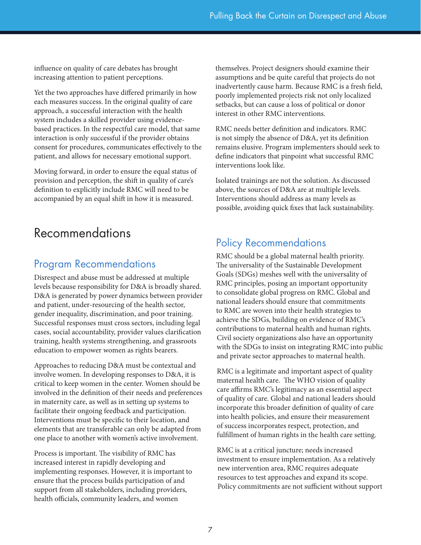influence on quality of care debates has brought increasing attention to patient perceptions.

Yet the two approaches have differed primarily in how each measures success. In the original quality of care approach, a successful interaction with the health system includes a skilled provider using evidencebased practices. In the respectful care model, that same interaction is only successful if the provider obtains consent for procedures, communicates effectively to the patient, and allows for necessary emotional support.

Moving forward, in order to ensure the equal status of provision and perception, the shift in quality of care's definition to explicitly include RMC will need to be accompanied by an equal shift in how it is measured.

# Recommendations

### Program Recommendations

Disrespect and abuse must be addressed at multiple levels because responsibility for D&A is broadly shared. D&A is generated by power dynamics between provider and patient, under-resourcing of the health sector, gender inequality, discrimination, and poor training. Successful responses must cross sectors, including legal cases, social accountability, provider values clarification training, health systems strengthening, and grassroots education to empower women as rights bearers.

Approaches to reducing D&A must be contextual and involve women. In developing responses to D&A, it is critical to keep women in the center. Women should be involved in the definition of their needs and preferences in maternity care, as well as in setting up systems to facilitate their ongoing feedback and participation. Interventions must be specific to their location, and elements that are transferable can only be adapted from one place to another with women's active involvement.

Process is important. The visibility of RMC has increased interest in rapidly developing and implementing responses. However, it is important to ensure that the process builds participation of and support from all stakeholders, including providers, health officials, community leaders, and women

themselves. Project designers should examine their assumptions and be quite careful that projects do not inadvertently cause harm. Because RMC is a fresh field, poorly implemented projects risk not only localized setbacks, but can cause a loss of political or donor interest in other RMC interventions.

RMC needs better definition and indicators. RMC is not simply the absence of D&A, yet its definition remains elusive. Program implementers should seek to define indicators that pinpoint what successful RMC interventions look like.

Isolated trainings are not the solution. As discussed above, the sources of D&A are at multiple levels. Interventions should address as many levels as possible, avoiding quick fixes that lack sustainability.

### Policy Recommendations

RMC should be a global maternal health priority. The universality of the Sustainable Development Goals (SDGs) meshes well with the universality of RMC principles, posing an important opportunity to consolidate global progress on RMC. Global and national leaders should ensure that commitments to RMC are woven into their health strategies to achieve the SDGs, building on evidence of RMC's contributions to maternal health and human rights. Civil society organizations also have an opportunity with the SDGs to insist on integrating RMC into public and private sector approaches to maternal health.

RMC is a legitimate and important aspect of quality maternal health care. The WHO vision of quality care affirms RMC's legitimacy as an essential aspect of quality of care. Global and national leaders should incorporate this broader definition of quality of care into health policies, and ensure their measurement of success incorporates respect, protection, and fulfillment of human rights in the health care setting.

RMC is at a critical juncture; needs increased investment to ensure implementation. As a relatively new intervention area, RMC requires adequate resources to test approaches and expand its scope. Policy commitments are not sufficient without support